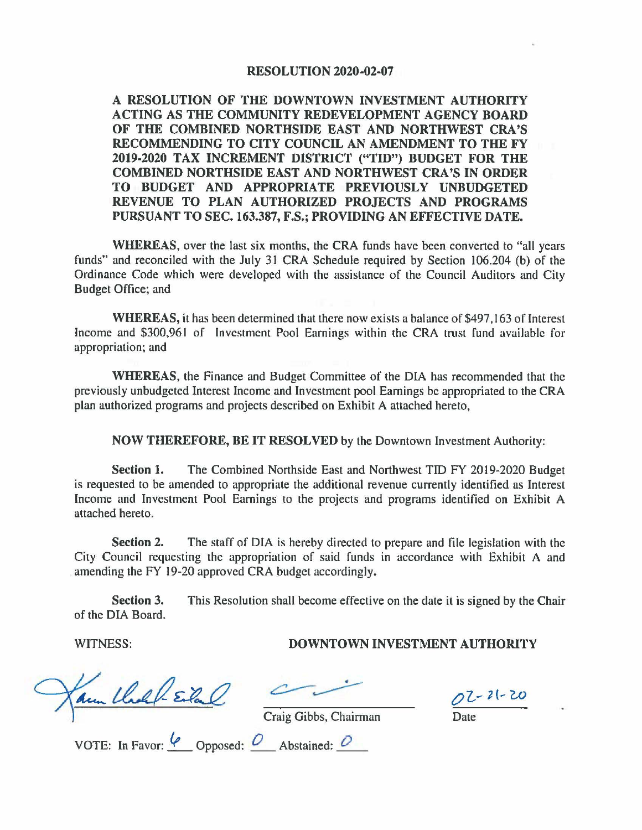## **RESOLUTION 2020-02-07**

**A RESOLUTION OF THE DOWNTOWN INVESTMENT AUTHORITY ACTING AS THE COMMUNITY REDEVELOPMENT AGENCY BOARD OF THE COMBINED NORTHSIDE EAST AND NORTHWEST CRA'S RECOMMENDING TO CITY COUNCIL AN AMENDMENT TO THE FY 2019-2020 TAX INCREMENT DISTRICT ("TID") BUDGET FOR THE COMBINED NORTHSIDE EAST AND NORTHWEST CRA'S IN ORDER TO BUDGET AND APPROPRIATE PREVIOUSLY UNBUDGETED REVENUE TO PLAN AUTHORIZED PROJECTS AND PROGRAMS PURSUANT TO SEC. 163.387, F.S.; PROVIDING AN EFFECTIVE DATE.** 

**WHEREAS,** over the last six months, the CRA funds have been converted to "all years funds" and reconciled with the July 31 CRA Schedule required by Section 106.204 (b) of the Ordinance Code which were developed with the assistance of the Council Auditors and City Budget Office; and

**WHEREAS,** it has been determined that there now exists a balance of \$497,163 of Interest Income and \$300,961 of Investment Pool Earnings within the CRA trust fund available for appropriation; and

**WHEREAS,** the Finance and Budget Committee of the DIA has recommended that the previously unbudgeted Interest Income and Investment pool Earnings be appropriated to the CRA plan authorized programs and projects described on Exhibit A attached hereto,

**NOW THEREFORE, BE IT RESOLVED** by the Downtown Investment Authority:

**Section 1.** The Combined Northside East and Northwest TIO FY 2019-2020 Budget is requested to be amended to appropriate the additional revenue currently identified as Interest Income and Investment Pool Earnings to the projects and programs identified on Exhibit A attached hereto.

**Section 2.** The staff of DIA is hereby directed to prepare and file legislation with the City Council requesting the appropriation of said funds in accordance with Exhibit A and amending the FY 19-20 approved CRA budget accordingly.

**Section 3.** This Resolution shall become effective on the date it is signed by the Chair of the DIA Board.

## WITNESS: **DOWNTOWN INVESTMENT AUTHORITY**

Aun Chall-Eilal

oi-1(-w Date

Craig Gibbs, Chairman

VOTE: In Favor:  $\frac{6}{2}$  Opposed:  $\frac{6}{2}$  Abstained:  $\frac{6}{2}$